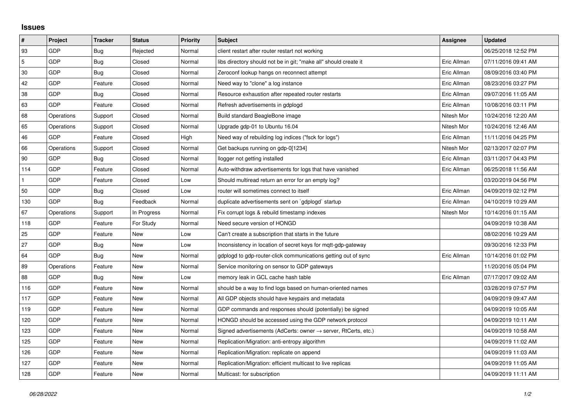## **Issues**

| $\vert$ #      | Project    | <b>Tracker</b> | <b>Status</b> | <b>Priority</b> | <b>Subject</b>                                                             | Assignee    | <b>Updated</b>      |
|----------------|------------|----------------|---------------|-----------------|----------------------------------------------------------------------------|-------------|---------------------|
| 93             | GDP        | Bug            | Rejected      | Normal          | client restart after router restart not working                            |             | 06/25/2018 12:52 PM |
| $\overline{5}$ | GDP        | Bug            | Closed        | Normal          | libs directory should not be in git; "make all" should create it           | Eric Allman | 07/11/2016 09:41 AM |
| 30             | GDP        | <b>Bug</b>     | Closed        | Normal          | Zeroconf lookup hangs on reconnect attempt                                 | Eric Allman | 08/09/2016 03:40 PM |
| 42             | GDP        | Feature        | Closed        | Normal          | Need way to "clone" a log instance                                         | Eric Allman | 08/23/2016 03:27 PM |
| 38             | GDP        | Bug            | Closed        | Normal          | Resource exhaustion after repeated router restarts                         | Eric Allman | 09/07/2016 11:05 AM |
| 63             | GDP        | Feature        | Closed        | Normal          | Refresh advertisements in gdplogd                                          | Eric Allman | 10/08/2016 03:11 PM |
| 68             | Operations | Support        | Closed        | Normal          | Build standard BeagleBone image                                            | Nitesh Mor  | 10/24/2016 12:20 AM |
| 65             | Operations | Support        | Closed        | Normal          | Upgrade gdp-01 to Ubuntu 16.04                                             | Nitesh Mor  | 10/24/2016 12:46 AM |
| 46             | GDP        | Feature        | Closed        | High            | Need way of rebuilding log indices ("fsck for logs")                       | Eric Allman | 11/11/2016 04:25 PM |
| 66             | Operations | Support        | Closed        | Normal          | Get backups running on gdp-0[1234]                                         | Nitesh Mor  | 02/13/2017 02:07 PM |
| 90             | GDP        | Bug            | Closed        | Normal          | llogger not getting installed                                              | Eric Allman | 03/11/2017 04:43 PM |
| 114            | GDP        | Feature        | Closed        | Normal          | Auto-withdraw advertisements for logs that have vanished                   | Eric Allman | 06/25/2018 11:56 AM |
| $\mathbf{1}$   | GDP        | Feature        | Closed        | Low             | Should multiread return an error for an empty log?                         |             | 03/20/2019 04:56 PM |
| 50             | GDP        | Bug            | Closed        | Low             | router will sometimes connect to itself                                    | Eric Allman | 04/09/2019 02:12 PM |
| 130            | GDP        | Bug            | Feedback      | Normal          | duplicate advertisements sent on `gdplogd` startup                         | Eric Allman | 04/10/2019 10:29 AM |
| 67             | Operations | Support        | In Progress   | Normal          | Fix corrupt logs & rebuild timestamp indexes                               | Nitesh Mor  | 10/14/2016 01:15 AM |
| 118            | GDP        | Feature        | For Study     | Normal          | Need secure version of HONGD                                               |             | 04/09/2019 10:38 AM |
| 25             | GDP        | Feature        | New           | Low             | Can't create a subscription that starts in the future                      |             | 08/02/2016 10:29 AM |
| 27             | GDP        | Bug            | New           | Low             | Inconsistency in location of secret keys for mqtt-gdp-gateway              |             | 09/30/2016 12:33 PM |
| 64             | GDP        | Bug            | New           | Normal          | gdplogd to gdp-router-click communications getting out of sync             | Eric Allman | 10/14/2016 01:02 PM |
| 89             | Operations | Feature        | New           | Normal          | Service monitoring on sensor to GDP gateways                               |             | 11/20/2016 05:04 PM |
| 88             | GDP        | Bug            | New           | Low             | memory leak in GCL cache hash table                                        | Eric Allman | 07/17/2017 09:02 AM |
| 116            | GDP        | Feature        | New           | Normal          | should be a way to find logs based on human-oriented names                 |             | 03/28/2019 07:57 PM |
| 117            | GDP        | Feature        | New           | Normal          | All GDP objects should have keypairs and metadata                          |             | 04/09/2019 09:47 AM |
| 119            | GDP        | Feature        | New           | Normal          | GDP commands and responses should (potentially) be signed                  |             | 04/09/2019 10:05 AM |
| 120            | GDP        | Feature        | New           | Normal          | HONGD should be accessed using the GDP network protocol                    |             | 04/09/2019 10:11 AM |
| 123            | GDP        | Feature        | New           | Normal          | Signed advertisements (AdCerts: owner $\rightarrow$ server, RtCerts, etc.) |             | 04/09/2019 10:58 AM |
| 125            | GDP        | Feature        | New           | Normal          | Replication/Migration: anti-entropy algorithm                              |             | 04/09/2019 11:02 AM |
| 126            | GDP        | Feature        | New           | Normal          | Replication/Migration: replicate on append                                 |             | 04/09/2019 11:03 AM |
| 127            | GDP        | Feature        | New           | Normal          | Replication/Migration: efficient multicast to live replicas                |             | 04/09/2019 11:05 AM |
| 128            | GDP        | Feature        | New           | Normal          | Multicast: for subscription                                                |             | 04/09/2019 11:11 AM |